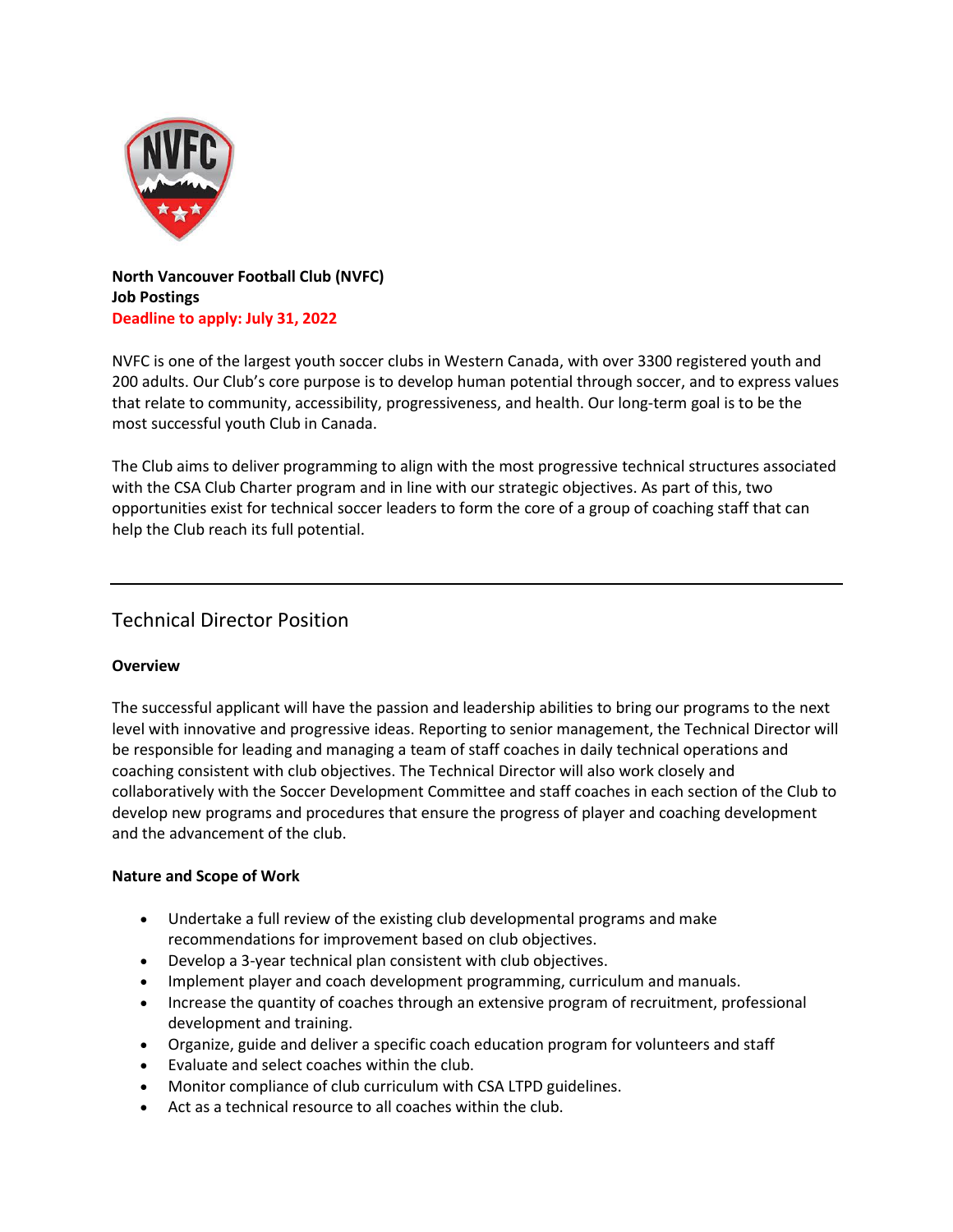

**North Vancouver Football Club (NVFC) Job Postings Deadline to apply: July 31, 2022**

NVFC is one of the largest youth soccer clubs in Western Canada, with over 3300 registered youth and 200 adults. Our Club's core purpose is to develop human potential through soccer, and to express values that relate to community, accessibility, progressiveness, and health. Our long-term goal is to be the most successful youth Club in Canada.

The Club aims to deliver programming to align with the most progressive technical structures associated with the CSA Club Charter program and in line with our strategic objectives. As part of this, two opportunities exist for technical soccer leaders to form the core of a group of coaching staff that can help the Club reach its full potential.

# Technical Director Position

### **Overview**

The successful applicant will have the passion and leadership abilities to bring our programs to the next level with innovative and progressive ideas. Reporting to senior management, the Technical Director will be responsible for leading and managing a team of staff coaches in daily technical operations and coaching consistent with club objectives. The Technical Director will also work closely and collaboratively with the Soccer Development Committee and staff coaches in each section of the Club to develop new programs and procedures that ensure the progress of player and coaching development and the advancement of the club.

### **Nature and Scope of Work**

- Undertake a full review of the existing club developmental programs and make recommendations for improvement based on club objectives.
- Develop a 3-year technical plan consistent with club objectives.
- Implement player and coach development programming, curriculum and manuals.
- Increase the quantity of coaches through an extensive program of recruitment, professional development and training.
- Organize, guide and deliver a specific coach education program for volunteers and staff
- Evaluate and select coaches within the club.
- Monitor compliance of club curriculum with CSA LTPD guidelines.
- Act as a technical resource to all coaches within the club.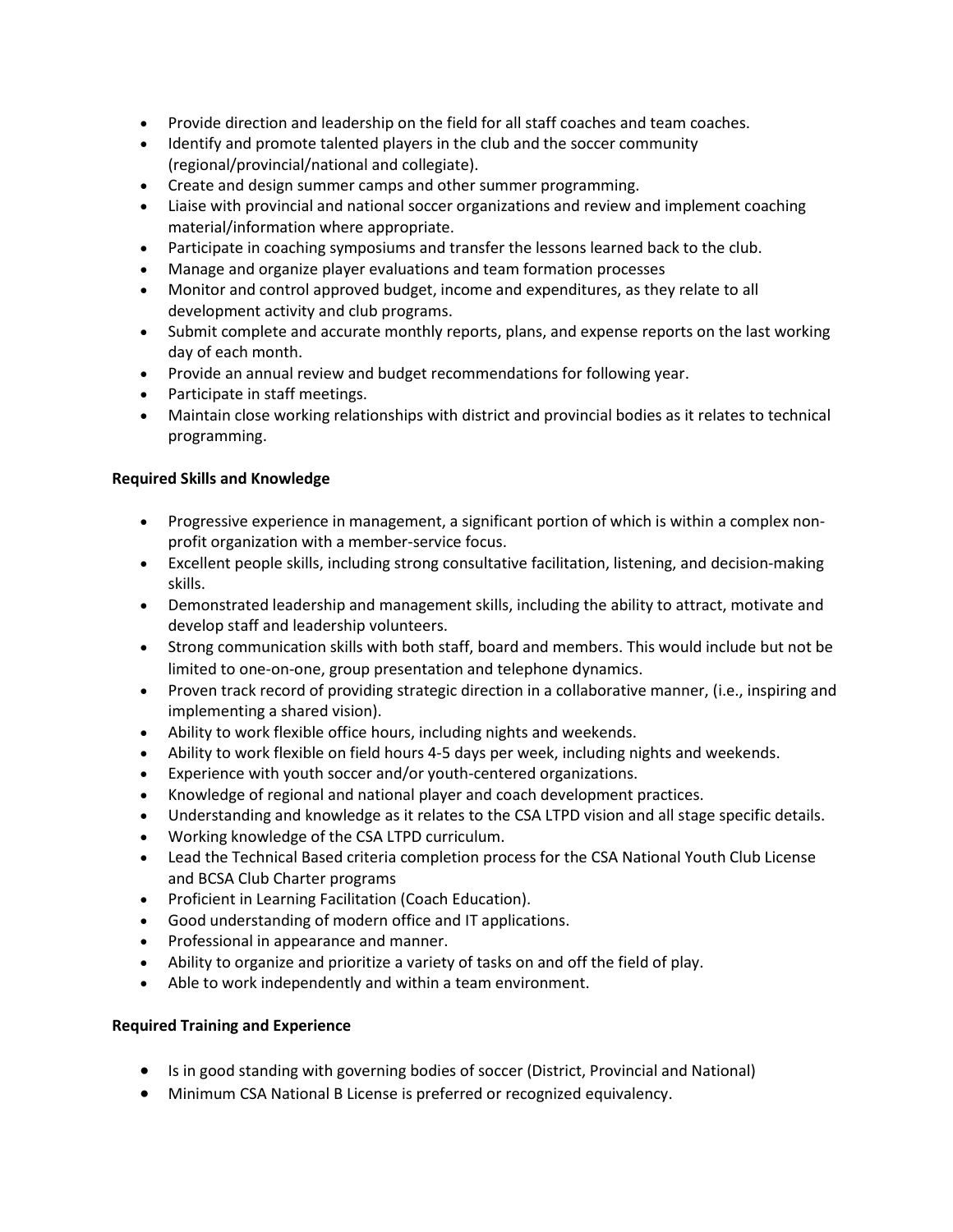- Provide direction and leadership on the field for all staff coaches and team coaches.
- Identify and promote talented players in the club and the soccer community (regional/provincial/national and collegiate).
- Create and design summer camps and other summer programming.
- Liaise with provincial and national soccer organizations and review and implement coaching material/information where appropriate.
- Participate in coaching symposiums and transfer the lessons learned back to the club.
- Manage and organize player evaluations and team formation processes
- Monitor and control approved budget, income and expenditures, as they relate to all development activity and club programs.
- Submit complete and accurate monthly reports, plans, and expense reports on the last working day of each month.
- Provide an annual review and budget recommendations for following year.
- Participate in staff meetings.
- Maintain close working relationships with district and provincial bodies as it relates to technical programming.

### **Required Skills and Knowledge**

- Progressive experience in management, a significant portion of which is within a complex nonprofit organization with a member-service focus.
- Excellent people skills, including strong consultative facilitation, listening, and decision-making skills.
- Demonstrated leadership and management skills, including the ability to attract, motivate and develop staff and leadership volunteers.
- Strong communication skills with both staff, board and members. This would include but not be limited to one-on-one, group presentation and telephone dynamics.
- Proven track record of providing strategic direction in a collaborative manner, (i.e., inspiring and implementing a shared vision).
- Ability to work flexible office hours, including nights and weekends.
- Ability to work flexible on field hours 4-5 days per week, including nights and weekends.
- Experience with youth soccer and/or youth-centered organizations.
- Knowledge of regional and national player and coach development practices.
- Understanding and knowledge as it relates to the CSA LTPD vision and all stage specific details.
- Working knowledge of the CSA LTPD curriculum.
- Lead the Technical Based criteria completion process for the CSA National Youth Club License and BCSA Club Charter programs
- Proficient in Learning Facilitation (Coach Education).
- Good understanding of modern office and IT applications.
- Professional in appearance and manner.
- Ability to organize and prioritize a variety of tasks on and off the field of play.
- Able to work independently and within a team environment.

### **Required Training and Experience**

- Is in good standing with governing bodies of soccer (District, Provincial and National)
- Minimum CSA National B License is preferred or recognized equivalency.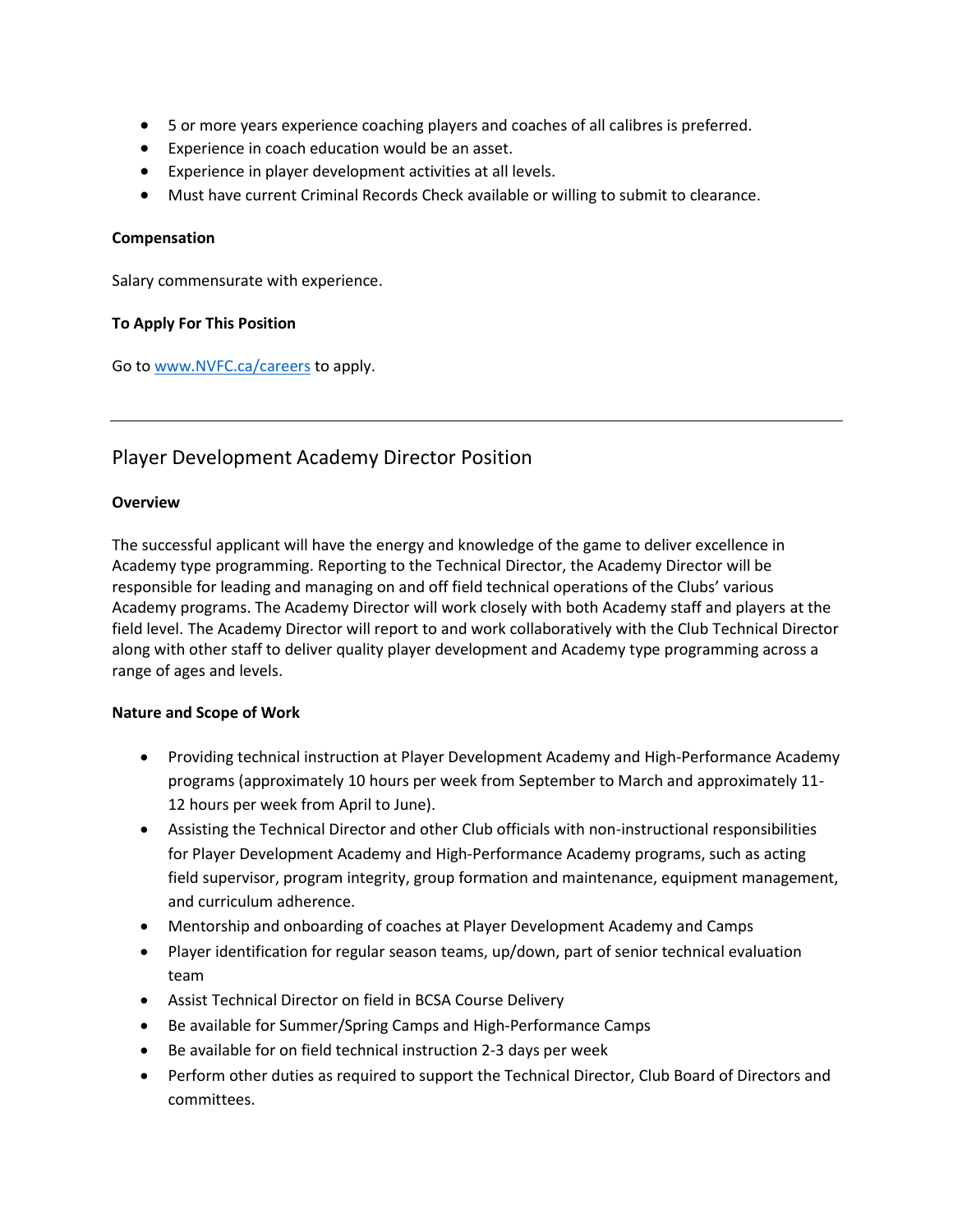- 5 or more years experience coaching players and coaches of all calibres is preferred.
- Experience in coach education would be an asset.
- Experience in player development activities at all levels.
- Must have current Criminal Records Check available or willing to submit to clearance.

### **Compensation**

Salary commensurate with experience.

### **To Apply For This Position**

Go to [www.NVFC.ca/careers](http://www.nvfc.ca/careers) to apply.

## Player Development Academy Director Position

### **Overview**

The successful applicant will have the energy and knowledge of the game to deliver excellence in Academy type programming. Reporting to the Technical Director, the Academy Director will be responsible for leading and managing on and off field technical operations of the Clubs' various Academy programs. The Academy Director will work closely with both Academy staff and players at the field level. The Academy Director will report to and work collaboratively with the Club Technical Director along with other staff to deliver quality player development and Academy type programming across a range of ages and levels.

### **Nature and Scope of Work**

- Providing technical instruction at Player Development Academy and High-Performance Academy programs (approximately 10 hours per week from September to March and approximately 11- 12 hours per week from April to June).
- Assisting the Technical Director and other Club officials with non-instructional responsibilities for Player Development Academy and High-Performance Academy programs, such as acting field supervisor, program integrity, group formation and maintenance, equipment management, and curriculum adherence.
- Mentorship and onboarding of coaches at Player Development Academy and Camps
- Player identification for regular season teams, up/down, part of senior technical evaluation team
- Assist Technical Director on field in BCSA Course Delivery
- Be available for Summer/Spring Camps and High-Performance Camps
- Be available for on field technical instruction 2-3 days per week
- Perform other duties as required to support the Technical Director, Club Board of Directors and committees.